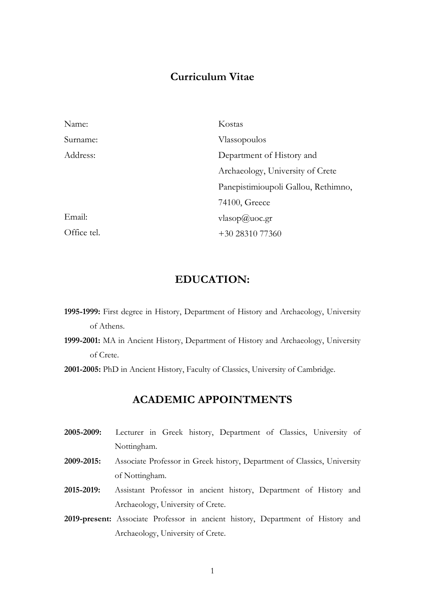## **Curriculum Vitae**

| Name:       | Kostas                              |
|-------------|-------------------------------------|
| Surname:    | Vlassopoulos                        |
| Address:    | Department of History and           |
|             | Archaeology, University of Crete    |
|             | Panepistimioupoli Gallou, Rethimno, |
|             | 74100, Greece                       |
| Email:      | vlasop@uoc.gr                       |
| Office tel. | $+30\,28310\,77360$                 |

## **EDUCATION:**

- **1995-1999:** First degree in History, Department of History and Archaeology, University of Athens.
- **1999-2001:** MA in Ancient History, Department of History and Archaeology, University of Crete.

**2001-2005:** PhD in Ancient History, Faculty of Classics, University of Cambridge.

### **ACADEMIC APPOINTMENTS**

- **2005-2009:** Lecturer in Greek history, Department of Classics, University of Nottingham.
- **2009-2015:** Associate Professor in Greek history, Department of Classics, University of Nottingham.
- **2015-2019:** Assistant Professor in ancient history, Department of History and Archaeology, University of Crete.
- **2019-present:** Associate Professor in ancient history, Department of History and Archaeology, University of Crete.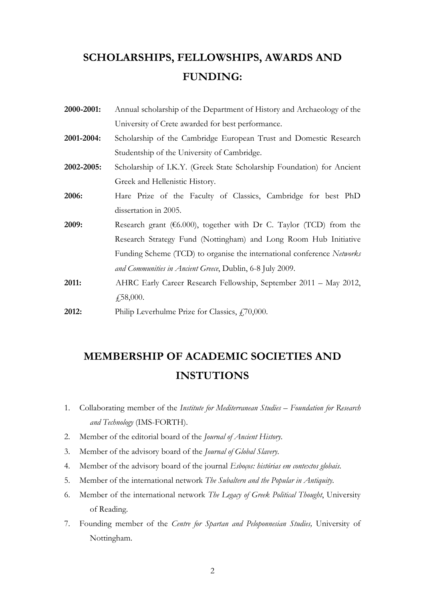# **SCHOLARSHIPS, FELLOWSHIPS, AWARDS AND FUNDING:**

**2000-2001:** Annual scholarship of the Department of History and Archaeology of the University of Crete awarded for best performance. **2001-2004:** Scholarship of the Cambridge European Trust and Domestic Research Studentship of the University of Cambridge. **2002-2005:** Scholarship of I.K.Y. (Greek State Scholarship Foundation) for Ancient Greek and Hellenistic History. **2006:** Hare Prize of the Faculty of Classics, Cambridge for best PhD dissertation in 2005. **2009:** Research grant (€6.000), together with Dr C. Taylor (TCD) from the Research Strategy Fund (Nottingham) and Long Room Hub Initiative Funding Scheme (TCD) to organise the international conference *Networks and Communities in Ancient Greece*, Dublin, 6-8 July 2009. **2011:** AHRC Early Career Research Fellowship, September 2011 – May 2012, ₤58,000. **2012:** Philip Leverhulme Prize for Classics, £70,000.

# **MEMBERSHIP OF ACADEMIC SOCIETIES AND INSTUTIONS**

- 1. Collaborating member of the *Institute for Mediterranean Studies – Foundation for Research and Technology* (IMS-FORTH).
- 2. Member of the editorial board of the *Journal of Ancient History*.
- 3. Member of the advisory board of the *Journal of Global Slavery*.
- 4. Member of the advisory board of the journal *Esboços: histórias em contextos globais*.
- 5. Member of the international network *The Subaltern and the Popular in Antiquity*.
- 6. Member of the international network *The Legacy of Greek Political Thought*, University of Reading.
- 7. Founding member of the *Centre for Spartan and Peloponnesian Studies,* University of Nottingham.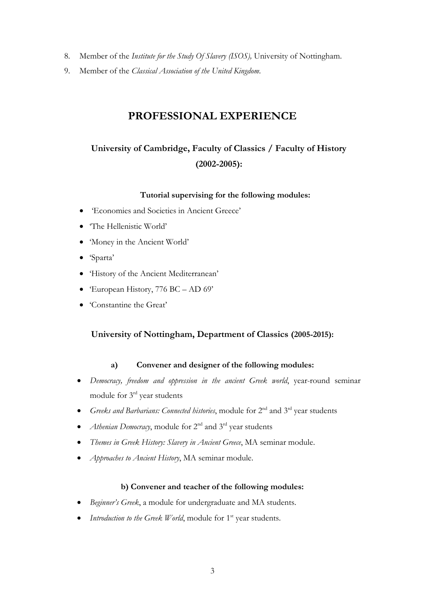- 8. Member of the *Institute for the Study Of Slavery (ISOS),* University of Nottingham.
- 9. Member of the *Classical Association of the United Kingdom*.

## **PROFESSIONAL EXPERIENCE**

# **University of Cambridge, Faculty of Classics / Faculty of History (2002-2005):**

#### **Tutorial supervising for the following modules:**

- 'Economies and Societies in Ancient Greece'
- The Hellenistic World'
- 'Money in the Ancient World'
- 'Sparta'
- 'History of the Ancient Mediterranean'
- 'European History, 776 BC AD 69'
- 'Constantine the Great'

### **University of Nottingham, Department of Classics (2005-2015):**

#### **a) Convener and designer of the following modules:**

- *Democracy, freedom and oppression in the ancient Greek world*, year-round seminar module for 3rd year students
- *Greeks and Barbarians: Connected histories*, module for 2nd and 3rd year students
- *Athenian Democracy*, module for 2<sup>nd</sup> and 3<sup>rd</sup> year students
- *Themes in Greek History: Slavery in Ancient Greece*, MA seminar module.
- *Approaches to Ancient History*, MA seminar module.

#### **b) Convener and teacher of the following modules:**

- *Beginner's Greek*, a module for undergraduate and MA students.
- *Introduction to the Greek World*, module for 1<sup>st</sup> year students.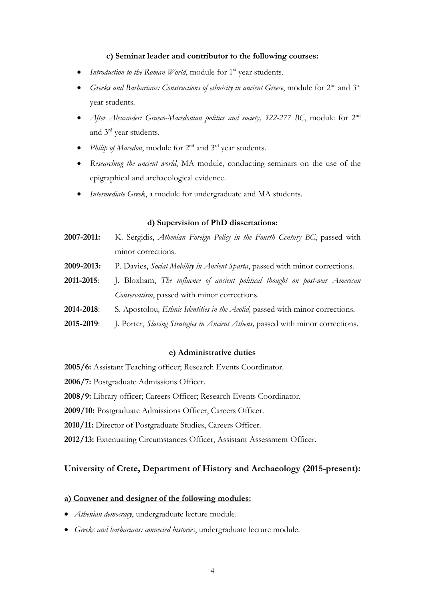#### **c) Seminar leader and contributor to the following courses:**

- *Introduction to the Roman World*, module for 1<sup>st</sup> year students.
- *Greeks and Barbarians: Constructions of ethnicity in ancient Greece*, module for 2nd and 3rd year students.
- *After Alexander: Graeco-Macedonian politics and society, 322-277 BC*, module for 2<sup>nd</sup> and 3rd year students.
- Philip of Macedon, module for 2<sup>nd</sup> and 3<sup>rd</sup> year students.
- *Researching the ancient world*, MA module, conducting seminars on the use of the epigraphical and archaeological evidence.
- *Intermediate Greek*, a module for undergraduate and MA students.

#### **d) Supervision of PhD dissertations:**

- **2007-2011:** K. Sergidis, *Athenian Foreign Policy in the Fourth Century BC*, passed with minor corrections.
- **2009-2013:** P. Davies, *Social Mobility in Ancient Sparta*, passed with minor corrections.
- **2011-2015**: J. Bloxham, *The influence of ancient political thought on post-war American Conservatism*, passed with minor corrections.
- **2014-2018**: S. Apostolou*, Ethnic Identities in the Aeolid,* passed with minor corrections.
- 2015-2019: J. Porter, *Slaving Strategies in Ancient Athens*, passed with minor corrections.

#### **e) Administrative duties**

**2005/6:** Assistant Teaching officer; Research Events Coordinator.

**2006/7:** Postgraduate Admissions Officer.

**2008/9:** Library officer; Careers Officer; Research Events Coordinator.

**2009/10:** Postgraduate Admissions Officer, Careers Officer.

**2010/11:** Director of Postgraduate Studies, Careers Officer.

**2012/13:** Extenuating Circumstances Officer, Assistant Assessment Officer.

#### **University of Crete, Department of History and Archaeology (2015-present):**

#### **a) Convener and designer of the following modules:**

- *Athenian democracy*, undergraduate lecture module.
- *Greeks and barbarians: connected histories*, undergraduate lecture module.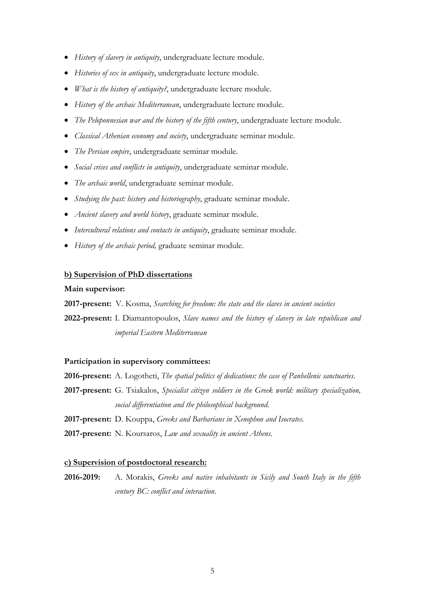- *History of slavery in antiquity*, undergraduate lecture module.
- *Histories of sex in antiquity*, undergraduate lecture module.
- *What is the history of antiquity?*, undergraduate lecture module.
- *History of the archaic Mediterranean*, undergraduate lecture module.
- *The Peloponnesian war and the history of the fifth century*, undergraduate lecture module.
- *Classical Athenian economy and society*, undergraduate seminar module.
- *The Persian empire*, undergraduate seminar module.
- *Social crises and conflicts in antiquity*, undergraduate seminar module.
- *The archaic world*, undergraduate seminar module.
- *Studying the past: history and historiography*, graduate seminar module.
- *Ancient slavery and world history*, graduate seminar module.
- *Intercultural relations and contacts in antiquity*, graduate seminar module.
- *History of the archaic period,* graduate seminar module.

#### **b) Supervision of PhD dissertations**

#### **Main supervisor:**

**2017-present:** V. Kosma, *Searching for freedom: the state and the slaves in ancient societies*

**2022-present:** I. Diamantopoulos, *Slave names and the history of slavery in late republican and imperial Eastern Mediterranean*

#### **Participation in supervisory committees:**

- **2016-present:** A. Logotheti, *The spatial politics of dedications: the case of Panhellenic sanctuaries*.
- **2017-present:** G. Tsiakalos, *Specialist citizen soldiers in the Greek world: military specialization, social differentiation and the philosophical background.*

**2017-present:** D. Kouppa, *Greeks and Barbarians in Xenophon and Isocrates*.

**2017-present:** N. Koursaros, *Law and sexuality in ancient Athens*.

#### **c) Supervision of postdoctoral research:**

**2016-2019:** A. Morakis, *Greeks and native inhabitants in Sicily and South Italy in the fifth century BC: conflict and interaction*.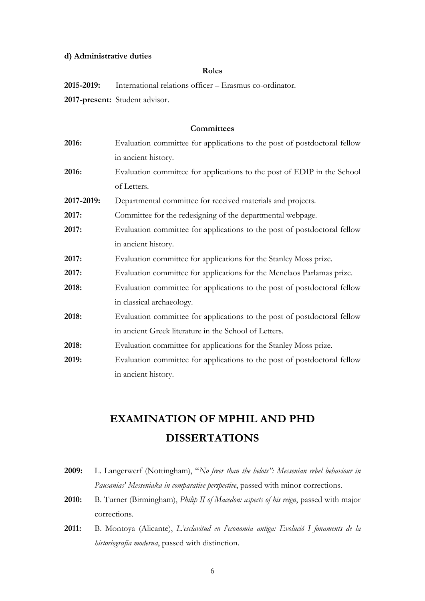#### **d) Administrative duties**

#### **Roles**

**2015-2019:** International relations officer – Erasmus co-ordinator.

**2017-present:** Student advisor.

#### **Committees**

| 2016:      | Evaluation committee for applications to the post of postdoctoral fellow |
|------------|--------------------------------------------------------------------------|
|            | in ancient history.                                                      |
| 2016:      | Evaluation committee for applications to the post of EDIP in the School  |
|            | of Letters.                                                              |
| 2017-2019: | Departmental committee for received materials and projects.              |
| 2017:      | Committee for the redesigning of the departmental webpage.               |
| 2017:      | Evaluation committee for applications to the post of postdoctoral fellow |
|            | in ancient history.                                                      |
| 2017:      | Evaluation committee for applications for the Stanley Moss prize.        |
| 2017:      | Evaluation committee for applications for the Menelaos Parlamas prize.   |
| 2018:      | Evaluation committee for applications to the post of postdoctoral fellow |
|            | in classical archaeology.                                                |
| 2018:      | Evaluation committee for applications to the post of postdoctoral fellow |
|            | in ancient Greek literature in the School of Letters.                    |
| 2018:      | Evaluation committee for applications for the Stanley Moss prize.        |
| 2019:      | Evaluation committee for applications to the post of postdoctoral fellow |
|            | in ancient history.                                                      |

# **EXAMINATION OF MPHIL AND PHD DISSERTATIONS**

- **2009:** L. Langerwerf (Nottingham), "*No freer than the helots": Messenian rebel behaviour in Pausanias' Messeniaka in comparative perspective*, passed with minor corrections.
- **2010:** B. Turner (Birmingham), *Philip II of Macedon: aspects of his reign*, passed with major corrections.
- **2011:** B. Montoya (Alicante), *L'esclavitud en l'economia antiga: Evolució I fonaments de la historiografia moderna*, passed with distinction.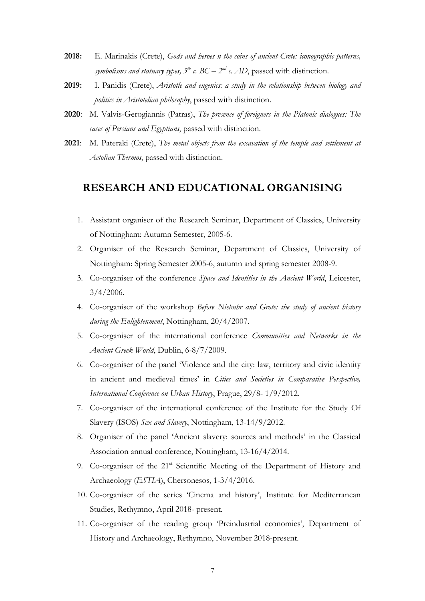- **2018:** E. Marinakis (Crete), *Gods and heroes n the coins of ancient Crete: iconographic patterns, symbolisms and statuary types,*  $5^{th}$  *c.*  $BC - 2^{nd}$  *c. AD*, passed with distinction.
- **2019:** I. Panidis (Crete), *Aristotle and eugenics: a study in the relationship between biology and politics in Aristotelian philosophy*, passed with distinction.
- **2020**: Μ. Valvis-Gerogiannis (Patras), *The presence of foreigners in the Platonic dialogues: The cases of Persians and Egyptians*, passed with distinction.
- **2021**: M. Pateraki (Crete), *The metal objects from the excavation of the temple and settlement at Aetolian Thermos*, passed with distinction.

### **RESEARCH AND EDUCATIONAL ORGANISING**

- 1. Assistant organiser of the Research Seminar, Department of Classics, University of Nottingham: Autumn Semester, 2005-6.
- 2. Organiser of the Research Seminar, Department of Classics, University of Nottingham: Spring Semester 2005-6, autumn and spring semester 2008-9.
- 3. Co-organiser of the conference *Space and Identities in the Ancient World*, Leicester, 3/4/2006.
- 4. Co-organiser of the workshop *Before Niebuhr and Grote: the study of ancient history during the Enlightenment*, Nottingham, 20/4/2007.
- 5. Co-organiser of the international conference *Communities and Networks in the Ancient Greek World*, Dublin, 6-8/7/2009.
- 6. Co-organiser of the panel 'Violence and the city: law, territory and civic identity in ancient and medieval times' in *Cities and Societies in Comparative Perspective, International Conference on Urban History*, Prague, 29/8- 1/9/2012.
- 7. Co-organiser of the international conference of the Institute for the Study Of Slavery (ISOS) *Sex and Slavery*, Nottingham, 13-14/9/2012.
- 8. Organiser of the panel 'Ancient slavery: sources and methods' in the Classical Association annual conference, Nottingham, 13-16/4/2014.
- 9. Co-organiser of the 21<sup>st</sup> Scientific Meeting of the Department of History and Archaeology (*ESTIA*), Chersonesos, 1-3/4/2016.
- 10. Co-organiser of the series 'Cinema and history', Institute for Mediterranean Studies, Rethymno, April 2018- present.
- 11. Co-organiser of the reading group 'Preindustrial economies', Department of History and Archaeology, Rethymno, November 2018-present.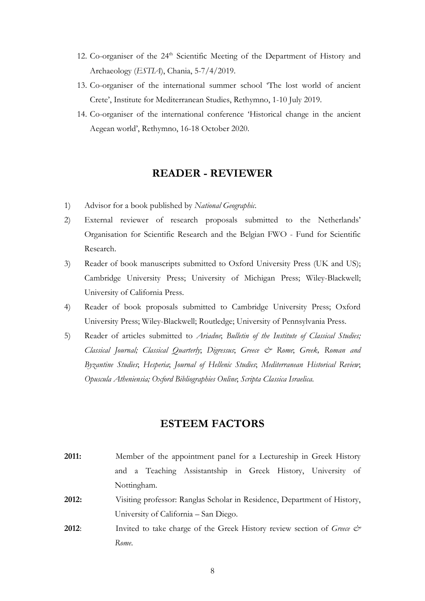- 12. Co-organiser of the  $24<sup>th</sup>$  Scientific Meeting of the Department of History and Archaeology (*ESTIA*), Chania, 5-7/4/2019.
- 13. Co-organiser of the international summer school 'The lost world of ancient Crete', Institute for Mediterranean Studies, Rethymno, 1-10 July 2019.
- 14. Co-organiser of the international conference 'Historical change in the ancient Aegean world', Rethymno, 16-18 October 2020.

### **READER - REVIEWER**

- 1) Advisor for a book published by *National Geographic*.
- 2) External reviewer of research proposals submitted to the Netherlands' Organisation for Scientific Research and the Belgian FWO - Fund for Scientific Research.
- 3) Reader of book manuscripts submitted to Oxford University Press (UK and US); Cambridge University Press; University of Michigan Press; Wiley-Blackwell; University of California Press.
- 4) Reader of book proposals submitted to Cambridge University Press; Oxford University Press; Wiley-Blackwell; Routledge; University of Pennsylvania Press.
- 5) Reader of articles submitted to *Ariadne*; *Bulletin of the Institute of Classical Studies; Classical Journal; Classical Quarterly*; *Digressus*; *Greece & Rome*; *Greek, Roman and Byzantine Studies*; *Hesperia*; *Journal of Hellenic Studies*; *Mediterranean Historical Review*; *Opuscula Atheniensia; Oxford Bibliographies Online*; *Scripta Classica Israelica*.

### **ESTEEM FACTORS**

- **2011:** Member of the appointment panel for a Lectureship in Greek History and a Teaching Assistantship in Greek History, University of Nottingham. **2012:** Visiting professor: Ranglas Scholar in Residence, Department of History,
- University of California San Diego.
- **2012:** Invited to take charge of the Greek History review section of *Greece*  $\mathcal{O}^*$ *Rome*.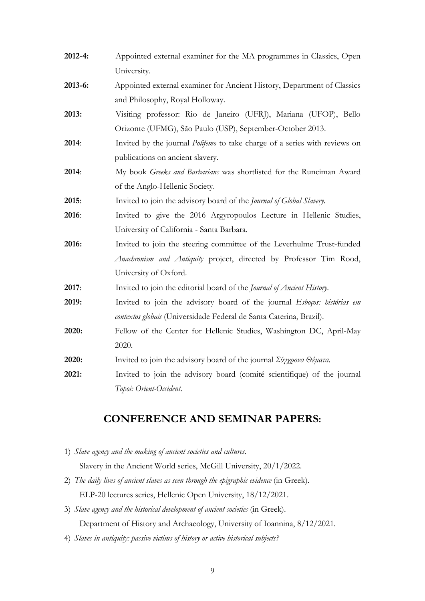| 2012-4: | Appointed external examiner for the MA programmes in Classics, Open                                             |
|---------|-----------------------------------------------------------------------------------------------------------------|
|         | University.                                                                                                     |
| 2013-6: | Appointed external examiner for Ancient History, Department of Classics                                         |
|         | and Philosophy, Royal Holloway.                                                                                 |
| 2013:   | Visiting professor: Rio de Janeiro (UFRJ), Mariana (UFOP), Bello                                                |
|         | Orizonte (UFMG), São Paulo (USP), September-October 2013.                                                       |
| 2014:   | Invited by the journal <i>Polifemo</i> to take charge of a series with reviews on                               |
|         | publications on ancient slavery.                                                                                |
| 2014:   | My book Greeks and Barbarians was shortlisted for the Runciman Award                                            |
|         | of the Anglo-Hellenic Society.                                                                                  |
| 2015:   | Invited to join the advisory board of the Journal of Global Slavery.                                            |
| 2016:   | Invited to give the 2016 Argyropoulos Lecture in Hellenic Studies,                                              |
|         | University of California - Santa Barbara.                                                                       |
| 2016:   | Invited to join the steering committee of the Leverhulme Trust-funded                                           |
|         | Anachronism and Antiquity project, directed by Professor Tim Rood,                                              |
|         | University of Oxford.                                                                                           |
| 2017:   | Invited to join the editorial board of the Journal of Ancient History.                                          |
| 2019:   | Invited to join the advisory board of the journal <i>Esboços: histórias em</i>                                  |
|         | contextos globais (Universidade Federal de Santa Caterina, Brazil).                                             |
| 2020:   | Fellow of the Center for Hellenic Studies, Washington DC, April-May                                             |
|         | 2020.                                                                                                           |
| 2020:   | Invited to join the advisory board of the journal $\Sigma \psi \gamma \rho \omega \omega$ O $\epsilon \mu$ ata. |
| 2021:   | Invited to join the advisory board (comité scientifique) of the journal                                         |
|         | Topoi: Orient-Occident.                                                                                         |

## **CONFERENCE AND SEMINAR PAPERS:**

- 1) *Slave agency and the making of ancient societies and cultures.* Slavery in the Ancient World series, McGill University, 20/1/2022.
- 2) *The daily lives of ancient slaves as seen through the epigraphic evidence* (in Greek). ELP-20 lectures series, Hellenic Open University, 18/12/2021.
- 3) *Slave agency and the historical development of ancient societies* (in Greek). Department of History and Archaeology, University of Ioannina, 8/12/2021.
- 4) *Slaves in antiquity: passive victims of history or active historical subjects?*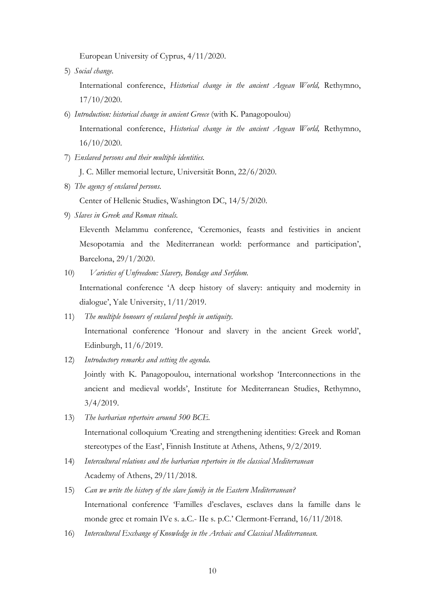European University of Cyprus, 4/11/2020.

5) *Social change.*

International conference, *Historical change in the ancient Aegean World,* Rethymno, 17/10/2020.

- 6) *Introduction: historical change in ancient Greece* (with K. Panagopoulou) International conference, *Historical change in the ancient Aegean World,* Rethymno, 16/10/2020.
- 7) *Enslaved persons and their multiple identities.*

J. C. Miller memorial lecture, Universität Bonn, 22/6/2020.

8) *The agency of enslaved persons.*

Center of Hellenic Studies, Washington DC, 14/5/2020.

9) *Slaves in Greek and Roman rituals.*

Eleventh Melammu conference, 'Ceremonies, feasts and festivities in ancient Mesopotamia and the Mediterranean world: performance and participation', Barcelona, 29/1/2020.

10) *Varieties of Unfreedom: Slavery, Bondage and Serfdom.*

International conference 'A deep history of slavery: antiquity and modernity in dialogue', Yale University, 1/11/2019.

- 11) *The multiple honours of enslaved people in antiquity.* International conference 'Honour and slavery in the ancient Greek world', Edinburgh, 11/6/2019.
- 12) *Introductory remarks and setting the agenda.*

Jointly with K. Panagopoulou, international workshop 'Interconnections in the ancient and medieval worlds', Institute for Mediterranean Studies, Rethymno, 3/4/2019.

- 13) *The barbarian repertoire around 500 BCE.* International colloquium 'Creating and strengthening identities: Greek and Roman stereotypes of the East', Finnish Institute at Athens, Athens, 9/2/2019.
- 14) *Intercultural relations and the barbarian repertoire in the classical Mediterranean* Academy of Athens, 29/11/2018.
- 15) *Can we write the history of the slave family in the Eastern Mediterranean?* International conference 'Familles d'esclaves, esclaves dans la famille dans le monde grec et romain IVe s. a.C.- IIe s. p.C.' Clermont-Ferrand, 16/11/2018.
- 16) *Intercultural Exchange of Knowledge in the Archaic and Classical Mediterranean.*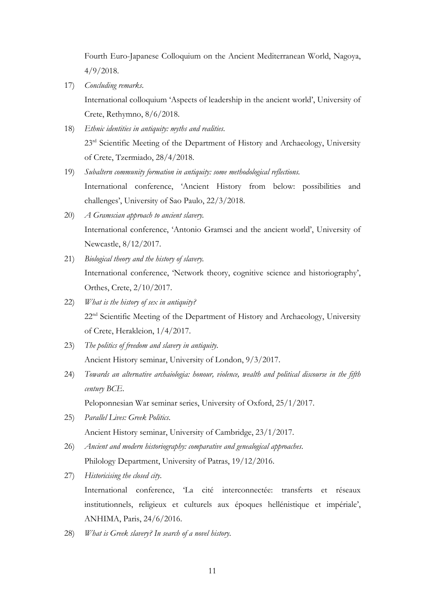Fourth Euro-Japanese Colloquium on the Ancient Mediterranean World, Nagoya, 4/9/2018.

17) *Concluding remarks*.

International colloquium 'Aspects of leadership in the ancient world', University of Crete, Rethymno, 8/6/2018.

- 18) *Ethnic identities in antiquity: myths and realities*. 23<sup>rd</sup> Scientific Meeting of the Department of History and Archaeology, University of Crete, Tzermiado, 28/4/2018.
- 19) *Subaltern community formation in antiquity: some methodological reflections.* International conference, 'Ancient History from below: possibilities and challenges', University of Sao Paulo, 22/3/2018.
- 20) *A Gramscian approach to ancient slavery.* International conference, 'Antonio Gramsci and the ancient world', University of Newcastle, 8/12/2017.
- 21) *Biological theory and the history of slavery.* International conference, 'Network theory, cognitive science and historiography', Orthes, Crete, 2/10/2017.
- 22) *What is the history of sex in antiquity?* 22<sup>nd</sup> Scientific Meeting of the Department of History and Archaeology, University of Crete, Herakleion, 1/4/2017.
- 23) *The politics of freedom and slavery in antiquity*. Ancient History seminar, University of London, 9/3/2017.
- 24) *Towards an alternative archaiologia: honour, violence, wealth and political discourse in the fifth century BCE*.

Peloponnesian War seminar series, University of Oxford, 25/1/2017.

- 25) *Parallel Lives: Greek Politics*. Ancient History seminar, University of Cambridge, 23/1/2017.
- 26) *Ancient and modern historiography: comparative and genealogical approaches*. Philology Department, University of Patras, 19/12/2016.
- 27) *Historicising the closed city*.

International conference, 'La cité interconnectée: transferts et réseaux institutionnels, religieux et culturels aux époques hellénistique et impériale', ANHIMA, Paris, 24/6/2016.

28) *What is Greek slavery? In search of a novel history*.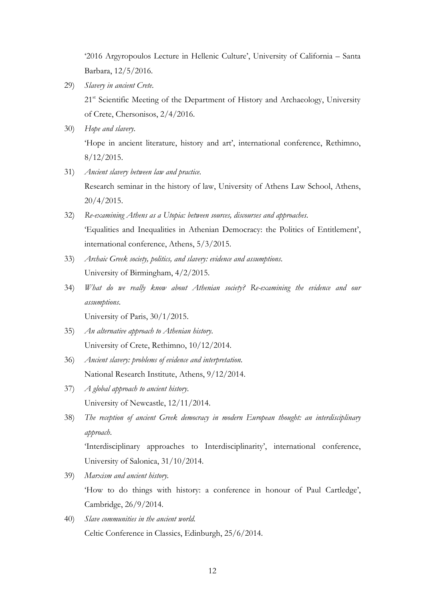'2016 Argyropoulos Lecture in Hellenic Culture', University of California – Santa Barbara, 12/5/2016.

- 29) *Slavery in ancient Crete*. 21<sup>st</sup> Scientific Meeting of the Department of History and Archaeology, University of Crete, Chersonisos, 2/4/2016.
- 30) *Hope and slavery*. 'Hope in ancient literature, history and art', international conference, Rethimno,  $8/12/2015$ .
- 31) *Ancient slavery between law and practice*. Research seminar in the history of law, University of Athens Law School, Athens, 20/4/2015.
- 32) *Re-examining Athens as a Utopia: between sources, discourses and approaches*. 'Equalities and Inequalities in Athenian Democracy: the Politics of Entitlement', international conference, Athens, 5/3/2015.
- 33) *Archaic Greek society, politics, and slavery: evidence and assumptions*. University of Birmingham, 4/2/2015.
- 34) *What do we really know about Athenian society? Re-examining the evidence and our assumptions*.

University of Paris, 30/1/2015.

- 35) *An alternative approach to Athenian history*. University of Crete, Rethimno, 10/12/2014.
- 36) *Ancient slavery: problems of evidence and interpretation*. National Research Institute, Athens, 9/12/2014.
- 37) *A global approach to ancient history*. University of Newcastle, 12/11/2014.
- 38) *The reception of ancient Greek democracy in modern European thought: an interdisciplinary approach*.

'Interdisciplinary approaches to Interdisciplinarity', international conference, University of Salonica, 31/10/2014.

- 39) *Marxism and ancient history.* 'How to do things with history: a conference in honour of Paul Cartledge', Cambridge, 26/9/2014.
- 40) *Slave communities in the ancient world.* Celtic Conference in Classics, Edinburgh, 25/6/2014.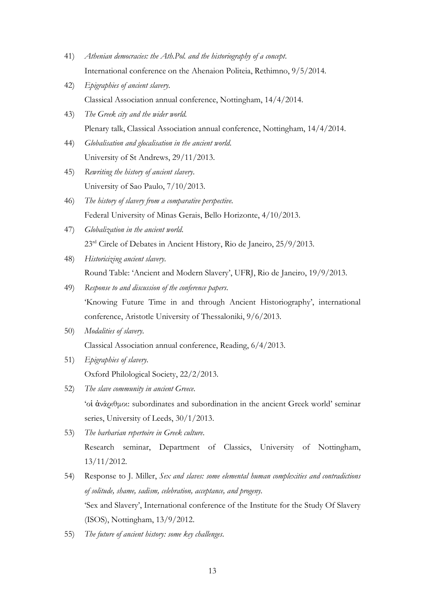- 41) *Athenian democracies: the Ath.Pol. and the historiography of a concept*. International conference on the Ahenaion Politeia, Rethimno, 9/5/2014.
- 42) *Epigraphies of ancient slavery*. Classical Association annual conference, Nottingham, 14/4/2014.
- 43) *The Greek city and the wider world.* Plenary talk, Classical Association annual conference, Nottingham, 14/4/2014.
- 44) *Globalisation and glocalisation in the ancient world*. University of St Andrews, 29/11/2013.
- 45) *Rewriting the history of ancient slavery*. University of Sao Paulo, 7/10/2013.
- 46) *The history of slavery from a comparative perspective*. Federal University of Minas Gerais, Bello Horizonte, 4/10/2013.
- 47) *Globalization in the ancient world*. 23<sup>rd</sup> Circle of Debates in Ancient History, Rio de Janeiro, 25/9/2013.
- 48) *Historicizing ancient slavery*. Round Table: 'Ancient and Modern Slavery', UFRJ, Rio de Janeiro, 19/9/2013.
- 49) *Response to and discussion of the conference papers*. 'Knowing Future Time in and through Ancient Historiography', international conference, Aristotle University of Thessaloniki, 9/6/2013.
- 50) *Modalities of slavery*. Classical Association annual conference, Reading, 6/4/2013.
- 51) *Epigraphies of slavery*. Oxford Philological Society, 22/2/2013.
- 52) *The slave community in ancient Greece*. 'οἱ ἀνάριθμοι: subordinates and subordination in the ancient Greek world' seminar series, University of Leeds, 30/1/2013.
- 53) *The barbarian repertoire in Greek culture*. Research seminar, Department of Classics, University of Nottingham, 13/11/2012.
- 54) Response to J. Miller, *Sex and slaves: some elemental human complexities and contradictions of solitude, shame, sadism, celebration, acceptance, and progeny.*  'Sex and Slavery', International conference of the Institute for the Study Of Slavery (ISOS), Nottingham, 13/9/2012.
- 55) *The future of ancient history: some key challenges*.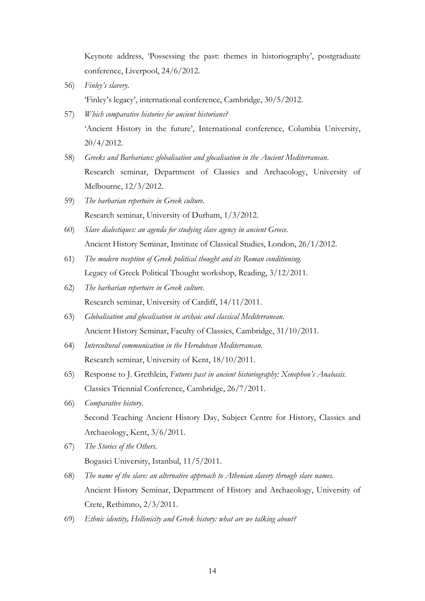Keynote address, 'Possessing the past: themes in historiography', postgraduate conference, Liverpool, 24/6/2012.

- 56) *Finley's slavery*. 'Finley's legacy', international conference, Cambridge, 30/5/2012.
- 57) *Which comparative histories for ancient historians?* 'Ancient History in the future', International conference, Columbia University, 20/4/2012.
- 58) *Greeks and Barbarians: globalisation and glocalisation in the Ancient Mediterranean*. Research seminar, Department of Classics and Archaeology, University of Melbourne, 12/3/2012.
- 59) *The barbarian repertoire in Greek culture*. Research seminar, University of Durham, 1/3/2012.
- 60) *Slave dialectiques: an agenda for studying slave agency in ancient Greece*. Ancient History Seminar, Institute of Classical Studies, London, 26/1/2012.
- 61) *The modern reception of Greek political thought and its Roman conditioning*. Legacy of Greek Political Thought workshop, Reading, 3/12/2011.
- 62) *The barbarian repertoire in Greek culture*. Research seminar, University of Cardiff, 14/11/2011.
- 63) *Globalisation and glocalisation in archaic and classical Mediterranean*. Ancient History Seminar, Faculty of Classics, Cambridge, 31/10/2011.
- 64) *Intercultural communication in the Herodotean Mediterranean*. Research seminar, University of Kent, 18/10/2011.
- 65) Response to J. Grethlein, *Futures past in ancient historiography: Xenophon's Anabasis*. Classics Triennial Conference, Cambridge, 26/7/2011.
- 66) *Comparative history*. Second Teaching Ancient History Day, Subject Centre for History, Classics and Archaeology, Kent, 3/6/2011.
- 67) *The Stories of the Others*. Bogasici University, Istanbul, 11/5/2011.
- 68) *The name of the slave: an alternative approach to Athenian slavery through slave names*. Ancient History Seminar, Department of History and Archaeology, University of Crete, Rethimno, 2/3/2011.
- 69) *Ethnic identity, Hellenicity and Greek history: what are we talking about?*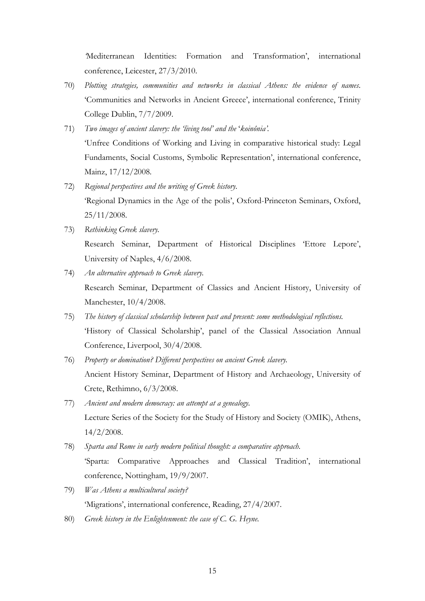*'*Mediterranean Identities: Formation and Transformation', international conference, Leicester, 27/3/2010.

- 70) *Plotting strategies, communities and networks in classical Athens: the evidence of names*. 'Communities and Networks in Ancient Greece', international conference, Trinity College Dublin, 7/7/2009.
- 71) *Two images of ancient slavery: the 'living tool' and the* '*koinônia'.* 'Unfree Conditions of Working and Living in comparative historical study: Legal Fundaments, Social Customs, Symbolic Representation', international conference, Mainz, 17/12/2008.
- 72) *Regional perspectives and the writing of Greek history*. 'Regional Dynamics in the Age of the polis', Oxford-Princeton Seminars, Oxford, 25/11/2008.
- 73) *Rethinking Greek slavery.* Research Seminar, Department of Historical Disciplines 'Ettore Lepore', University of Naples, 4/6/2008.
- 74) *An alternative approach to Greek slavery.* Research Seminar, Department of Classics and Ancient History, University of Manchester, 10/4/2008.
- 75) *The history of classical scholarship between past and present: some methodological reflections.*  'History of Classical Scholarship', panel of the Classical Association Annual Conference, Liverpool, 30/4/2008.
- 76) *Property or domination? Different perspectives on ancient Greek slavery.* Ancient History Seminar, Department of History and Archaeology, University of Crete, Rethimno, 6/3/2008.
- 77) *Ancient and modern democracy: an attempt at a genealogy.* Lecture Series of the Society for the Study of History and Society (OMIK), Athens, 14/2/2008.
- 78) *Sparta and Rome in early modern political thought: a comparative approach.* 'Sparta: Comparative Approaches and Classical Tradition', international conference, Nottingham, 19/9/2007.
- 79) *Was Athens a multicultural society?* 'Migrations', international conference, Reading, 27/4/2007.
- 80) *Greek history in the Enlightenment: the case of C. G. Heyne.*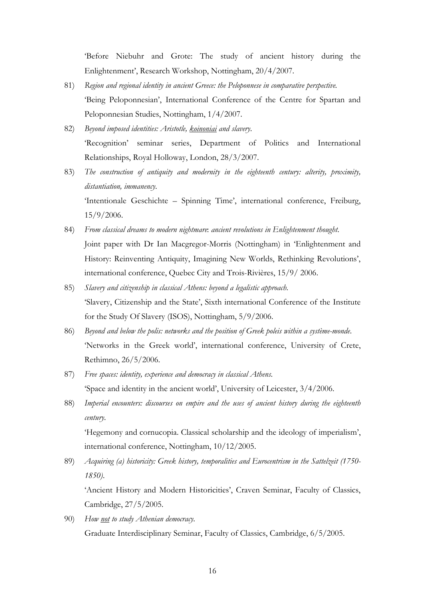'Before Niebuhr and Grote: The study of ancient history during the Enlightenment', Research Workshop, Nottingham, 20/4/2007.

- 81) *Region and regional identity in ancient Greece: the Peloponnese in comparative perspective.* 'Being Peloponnesian', International Conference of the Centre for Spartan and Peloponnesian Studies, Nottingham, 1/4/2007.
- 82) *Beyond imposed identities: Aristotle, koinoniai and slavery*. 'Recognition' seminar series, Department of Politics and International Relationships, Royal Holloway, London, 28/3/2007.
- 83) *The construction of antiquity and modernity in the eighteenth century: alterity, proximity, distantiation, immanency*. 'Intentionale Geschichte – Spinning Time', international conference, Freiburg, 15/9/2006.
- 84) *From classical dreams to modern nightmare*: *ancient revolutions in Enlightenment thought*. Joint paper with Dr Ian Macgregor-Morris (Nottingham) in 'Enlightenment and History: Reinventing Antiquity, Imagining New Worlds, Rethinking Revolutions', international conference, Quebec City and Trois-Rivières, 15/9/ 2006.
- 85) *Slavery and citizenship in classical Athens: beyond a legalistic approach.* 'Slavery, Citizenship and the State', Sixth international Conference of the Institute for the Study Of Slavery (ISOS), Nottingham, 5/9/2006.
- 86) *Beyond and below the polis: networks and the position of Greek poleis within a système-monde*. 'Networks in the Greek world', international conference, University of Crete, Rethimno, 26/5/2006.
- 87) *Free spaces: identity, experience and democracy in classical Athens*. 'Space and identity in the ancient world', University of Leicester, 3/4/2006.
- 88) *Imperial encounters: discourses on empire and the uses of ancient history during the eighteenth century*.

'Hegemony and cornucopia. Classical scholarship and the ideology of imperialism', international conference, Nottingham, 10/12/2005.

89) *Acquiring (a) historicity: Greek history, temporalities and Eurocentrism in the Sattelzeit (1750- 1850)*.

'Ancient History and Modern Historicities', Craven Seminar, Faculty of Classics, Cambridge, 27/5/2005.

90) *How not to study Athenian democracy.* Graduate Interdisciplinary Seminar, Faculty of Classics, Cambridge, 6/5/2005.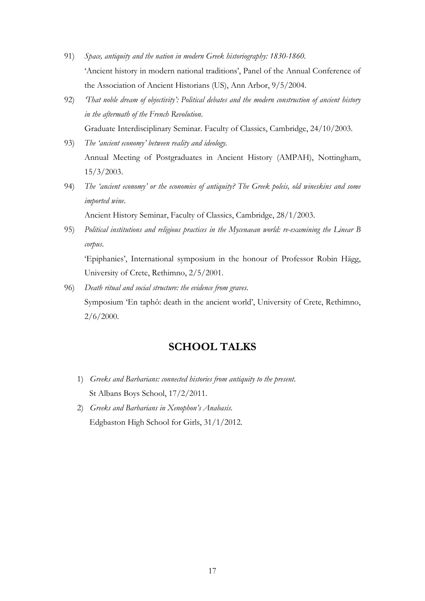- 91) *Space, antiquity and the nation in modern Greek historiography: 1830-1860*. 'Ancient history in modern national traditions', Panel of the Annual Conference of the Association of Ancient Historians (US), Ann Arbor, 9/5/2004.
- 92) *'That noble dream of objectivity': Political debates and the modern construction of ancient history in the aftermath of the French Revolution*. Graduate Interdisciplinary Seminar. Faculty of Classics, Cambridge, 24/10/2003.
- 93) *The 'ancient economy' between reality and ideology.* Annual Meeting of Postgraduates in Ancient History (AMPAH), Nottingham, 15/3/2003.
- 94) *The 'ancient economy' or the economies of antiquity? The Greek poleis, old wineskins and some imported wine*.

Ancient History Seminar, Faculty of Classics, Cambridge, 28/1/2003.

95) *Political institutions and religious practices in the Mycenaean world: re-examining the Linear B corpus*. 'Epiphanies', International symposium in the honour of Professor Robin Hägg,

University of Crete, Rethimno, 2/5/2001.

96) *Death ritual and social structure: the evidence from graves*. Symposium 'En taphô: death in the ancient world', University of Crete, Rethimno, 2/6/2000.

### **SCHOOL TALKS**

- 1) *Greeks and Barbarians: connected histories from antiquity to the present*. St Albans Boys School, 17/2/2011.
- 2) *Greeks and Barbarians in Xenophon's Anabasis*. Edgbaston High School for Girls, 31/1/2012.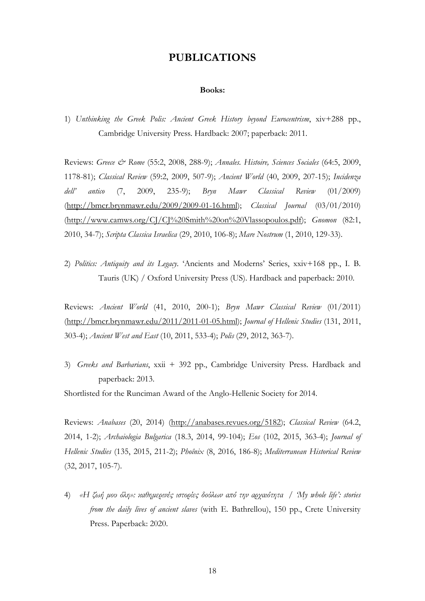### **PUBLICATIONS**

#### **Books:**

1) *Unthinking the Greek Polis: Ancient Greek History beyond Eurocentrism*, xiv+288 pp., Cambridge University Press. Hardback: 2007; paperback: 2011.

Reviews: *Greece & Rome* (55:2, 2008, 288-9); *Annales. Histoire, Sciences Sociales* (64:5, 2009, 1178-81); *Classical Review* (59:2, 2009, 507-9); *Ancient World* (40, 2009, 207-15); *Incidenza dell' antico* (7, 2009, 235-9); *Bryn Mawr Classical Review* (01/2009) [\(http://bmcr.brynmawr.edu/2009/2009-01-16.html\)](http://bmcr.brynmawr.edu/2009/2009-01-16.html); *Classical Journal* (03/01/2010) [\(http://www.camws.org/CJ/CJ%20Smith%20on%20Vlassopoulos.pdf\)](http://www.camws.org/CJ/CJ%20Smith%20on%20Vlassopoulos.pdf); *Gnomon* (82:1, 2010, 34-7); *Scripta Classica Israelica* (29, 2010, 106-8); *Mare Nostrum* (1, 2010, 129-33).

2) *Politics: Antiquity and its Legacy*. 'Ancients and Moderns' Series, xxiv+168 pp., I. B. Tauris (UK) / Oxford University Press (US). Hardback and paperback: 2010.

Reviews: *Ancient World* (41, 2010, 200-1); *Bryn Mawr Classical Review* (01/2011) [\(http://bmcr.brynmawr.edu/2011/2011-01-05.html\)](http://bmcr.brynmawr.edu/2011/2011-01-05.html); *Journal of Hellenic Studies* (131, 2011, 303-4); *Ancient West and East* (10, 2011, 533-4); *Polis* (29, 2012, 363-7).

3) *Greeks and Barbarians*, xxii + 392 pp., Cambridge University Press. Hardback and paperback: 2013.

Shortlisted for the Runciman Award of the Anglo-Hellenic Society for 2014.

Reviews: *Anabases* (20, 2014) (http://anabases.revues.org/5182); *Classical Review* (64.2, 2014, 1-2); *Archaiologia Bulgarica* (18.3, 2014, 99-104); *Eos* (102, 2015, 363-4); *Journal of Hellenic Studies* (135, 2015, 211-2); *Phoînix* (8, 2016, 186-8); *Mediterranean Historical Review* (32, 2017, 105-7).

4) *«Η ζωή μου όλη»: καθημερινές ιστορίες δούλων από την αρχαιότητα* / *'My whole life': stories from the daily lives of ancient slaves* (with E. Bathrellou), 150 pp., Crete University Press. Paperback: 2020.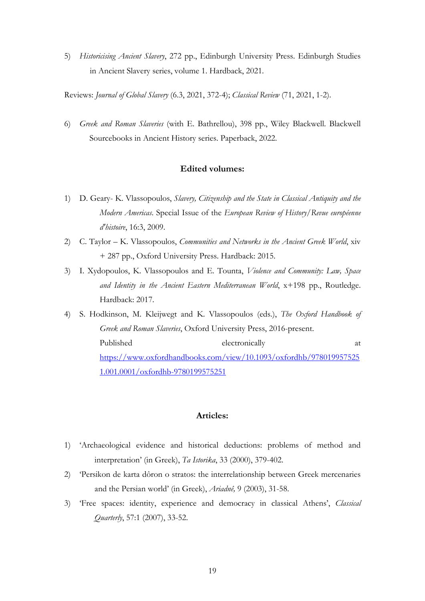5) *Historicising Ancient Slavery*, 272 pp., Edinburgh University Press. Edinburgh Studies in Ancient Slavery series, volume 1. Hardback, 2021.

Reviews: *Journal of Global Slavery* (6.3, 2021, 372-4); *Classical Review* (71, 2021, 1-2).

6) *Greek and Roman Slaveries* (with E. Bathrellou), 398 pp., Wiley Blackwell. Blackwell Sourcebooks in Ancient History series. Paperback, 2022.

#### **Edited volumes:**

- 1) D. Geary- K. Vlassopoulos, *Slavery, Citizenship and the State in Classical Antiquity and the Modern Americas*. Special Issue of the *European Review of History/Revue européenne d'histoire*, 16:3, 2009.
- 2) C. Taylor K. Vlassopoulos, *Communities and Networks in the Ancient Greek World*, xiv + 287 pp., Oxford University Press. Hardback: 2015.
- 3) I. Xydopoulos, K. Vlassopoulos and E. Tounta, *Violence and Community: Law, Space and Identity in the Ancient Eastern Mediterranean World*, x+198 pp., Routledge. Hardback: 2017.
- 4) S. Hodkinson, M. Kleijwegt and K. Vlassopoulos (eds.), *The Oxford Handbook of Greek and Roman Slaveries*, Oxford University Press, 2016-present. Published electronically at [https://www.oxfordhandbooks.com/view/10.1093/oxfordhb/978019957525](https://www.oxfordhandbooks.com/view/10.1093/oxfordhb/9780199575251.001.0001/oxfordhb-9780199575251) [1.001.0001/oxfordhb-9780199575251](https://www.oxfordhandbooks.com/view/10.1093/oxfordhb/9780199575251.001.0001/oxfordhb-9780199575251)

#### **Articles:**

- 1) 'Archaeological evidence and historical deductions: problems of method and interpretation' (in Greek), *Ta Istorika*, 33 (2000), 379-402.
- 2) 'Persikon de karta dôron o stratos: the interrelationship between Greek mercenaries and the Persian world' (in Greek), *Ariadnê,* 9 (2003), 31-58.
- 3) 'Free spaces: identity, experience and democracy in classical Athens', *Classical Quarterly*, 57:1 (2007), 33-52.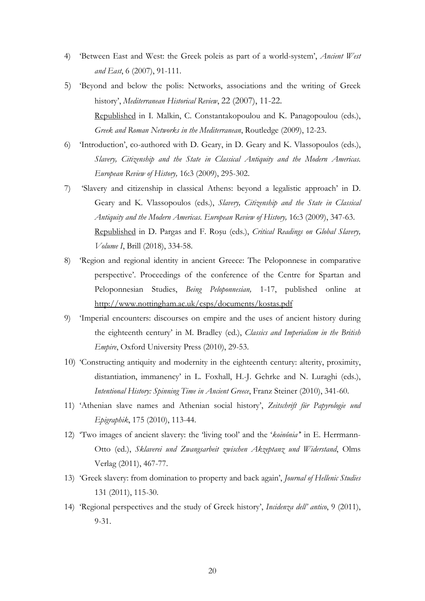- 4) 'Between East and West: the Greek poleis as part of a world-system', *Ancient West and East*, 6 (2007), 91-111.
- 5) 'Beyond and below the polis: Networks, associations and the writing of Greek history', *Mediterranean Historical Review*, 22 (2007), 11-22. Republished in I. Malkin, C. Constantakopoulou and K. Panagopoulou (eds.), *Greek and Roman Networks in the Mediterranean*, Routledge (2009), 12-23.
- 6) 'Introduction', co-authored with D. Geary, in D. Geary and K. Vlassopoulos (eds.), *Slavery, Citizenship and the State in Classical Antiquity and the Modern Americas. European Review of History,* 16:3 (2009), 295-302.
- 7) 'Slavery and citizenship in classical Athens: beyond a legalistic approach' in D. Geary and K. Vlassopoulos (eds.), *Slavery, Citizenship and the State in Classical Antiquity and the Modern Americas. European Review of History,* 16:3 (2009), 347-63. Republished in D. Pargas and F. Roşu (eds.), *Critical Readings on Global Slavery, Volume I*, Brill (2018), 334-58.
- 8) 'Region and regional identity in ancient Greece: The Peloponnese in comparative perspective'. Proceedings of the conference of the Centre for Spartan and Peloponnesian Studies, *Being Peloponnesian,* 1-17, published online at <http://www.nottingham.ac.uk/csps/documents/kostas.pdf>
- 9) 'Imperial encounters: discourses on empire and the uses of ancient history during the eighteenth century' in M. Bradley (ed.), *Classics and Imperialism in the British Empire*, Oxford University Press (2010), 29-53.
- 10) 'Constructing antiquity and modernity in the eighteenth century: alterity, proximity, distantiation, immanency' in L. Foxhall, H.-J. Gehrke and N. Luraghi (eds.), *Intentional History: Spinning Time in Ancient Greece*, Franz Steiner (2010), 341-60.
- 11) 'Athenian slave names and Athenian social history', *Zeitschrift für Papyrologie und Epigraphik*, 175 (2010), 113-44.
- 12) 'Two images of ancient slavery: the 'living tool' and the '*koinônia'*' in E. Herrmann-Otto (ed.), *Sklaverei und Zwangsarbeit zwischen Akzeptanz und Widerstand*, Olms Verlag (2011), 467-77.
- 13) 'Greek slavery: from domination to property and back again', *Journal of Hellenic Studies* 131 (2011), 115-30.
- 14) 'Regional perspectives and the study of Greek history', *Incidenza dell' antico*, 9 (2011), 9-31.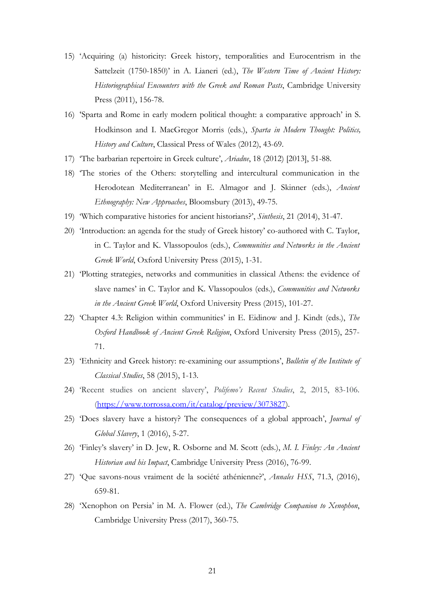- 15) 'Acquiring (a) historicity: Greek history, temporalities and Eurocentrism in the Sattelzeit (1750-1850)' in A. Lianeri (ed.), *The Western Time of Ancient History: Historiographical Encounters with the Greek and Roman Pasts*, Cambridge University Press (2011), 156-78.
- 16) 'Sparta and Rome in early modern political thought: a comparative approach' in S. Hodkinson and I. MacGregor Morris (eds.), *Sparta in Modern Thought: Politics, History and Culture*, Classical Press of Wales (2012), 43-69.
- 17) 'The barbarian repertoire in Greek culture', *Ariadne*, 18 (2012) [2013], 51-88.
- 18) 'The stories of the Others: storytelling and intercultural communication in the Herodotean Mediterranean' in E. Almagor and J. Skinner (eds.), *Ancient Ethnography: New Approaches*, Bloomsbury (2013), 49-75.
- 19) 'Which comparative histories for ancient historians?', *Sinthesis*, 21 (2014), 31-47.
- 20) 'Introduction: an agenda for the study of Greek history' co-authored with C. Taylor, in C. Taylor and K. Vlassopoulos (eds.), *Communities and Networks in the Ancient Greek World*, Oxford University Press (2015), 1-31.
- 21) 'Plotting strategies, networks and communities in classical Athens: the evidence of slave names' in C. Taylor and K. Vlassopoulos (eds.), *Communities and Networks in the Ancient Greek World*, Oxford University Press (2015), 101-27.
- 22) 'Chapter 4.3: Religion within communities' in E. Eidinow and J. Kindt (eds.), *The Oxford Handbook of Ancient Greek Religion*, Oxford University Press (2015), 257- 71.
- 23) 'Ethnicity and Greek history: re-examining our assumptions', *Bulletin of the Institute of Classical Studies*, 58 (2015), 1-13.
- 24) 'Recent studies on ancient slavery', *Polifemo's Recent Studies*, 2, 2015, 83-106. [\(https://www.torrossa.com/it/catalog/preview/3073827\)](https://www.torrossa.com/it/catalog/preview/3073827).
- 25) 'Does slavery have a history? The consequences of a global approach', *Journal of Global Slavery*, 1 (2016), 5-27.
- 26) 'Finley's slavery' in D. Jew, R. Osborne and M. Scott (eds.), *M. I. Finley: An Ancient Historian and his Impact*, Cambridge University Press (2016), 76-99.
- 27) 'Que savons-nous vraiment de la société athénienne?', *Annales HSS*, 71.3, (2016), 659-81.
- 28) 'Xenophon on Persia' in M. A. Flower (ed.), *The Cambridge Companion to Xenophon*, Cambridge University Press (2017), 360-75.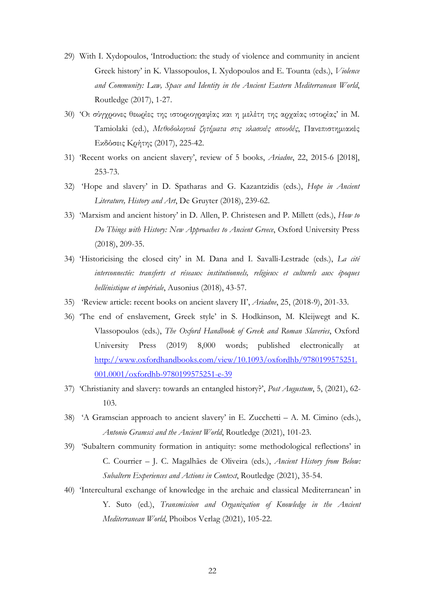- 29) With I. Xydopoulos, 'Introduction: the study of violence and community in ancient Greek history' in K. Vlassopoulos, I. Xydopoulos and E. Tounta (eds.), *Violence and Community: Law, Space and Identity in the Ancient Eastern Mediterranean World*, Routledge (2017), 1-27.
- 30) 'Οι σύγχρονες θεωρίες της ιστοριογραφίας και η μελέτη της αρχαίας ιστορίας' in M. Tamiolaki (ed.), *Μεθοδολογικά ζητήματα στις κλασικές σπουδές*, Πανεπιστημιακές Εκδόσεις Κρήτης (2017), 225-42.
- 31) 'Recent works on ancient slavery', review of 5 books, *Ariadne*, 22, 2015-6 [2018], 253-73.
- 32) 'Hope and slavery' in D. Spatharas and G. Kazantzidis (eds.), *Hope in Ancient Literature, History and Art*, De Gruyter (2018), 239-62.
- 33) 'Marxism and ancient history' in D. Allen, P. Christesen and P. Millett (eds.), *How to Do Things with History: New Approaches to Ancient Greece*, Oxford University Press (2018), 209-35.
- 34) 'Historicising the closed city' in M. Dana and I. Savalli-Lestrade (eds.), *La cité interconnectée: transferts et réseaux institutionnels, religieux et culturels aux époques hellénistique et impériale*, Ausonius (2018), 43-57.
- 35) 'Review article: recent books on ancient slavery II', *Ariadne*, 25, (2018-9), 201-33.
- 36) 'The end of enslavement, Greek style' in S. Hodkinson, M. Kleijwegt and K. Vlassopoulos (eds.), *The Oxford Handbook of Greek and Roman Slaveries*, Oxford University Press (2019) 8,000 words; published electronically at [http://www.oxfordhandbooks.com/view/10.1093/oxfordhb/9780199575251.](http://www.oxfordhandbooks.com/view/10.1093/oxfordhb/9780199575251.001.0001/oxfordhb-9780199575251-e-39) [001.0001/oxfordhb-9780199575251-e-39](http://www.oxfordhandbooks.com/view/10.1093/oxfordhb/9780199575251.001.0001/oxfordhb-9780199575251-e-39)
- 37) 'Christianity and slavery: towards an entangled history?', *Post Augustum*, 5, (2021), 62- 103.
- 38) 'A Gramscian approach to ancient slavery' in E. Zucchetti A. M. Cimino (eds.), *Antonio Gramsci and the Ancient World*, Routledge (2021), 101-23.
- 39) 'Subaltern community formation in antiquity: some methodological reflections' in C. Courrier – J. C. Magalhães de Oliveira (eds.), *Ancient History from Below: Subaltern Experiences and Actions in Context*, Routledge (2021), 35-54.
- 40) 'Intercultural exchange of knowledge in the archaic and classical Mediterranean' in Y. Suto (ed.), *Transmission and Organization of Knowledge in the Ancient Mediterranean World*, Phoibos Verlag (2021), 105-22.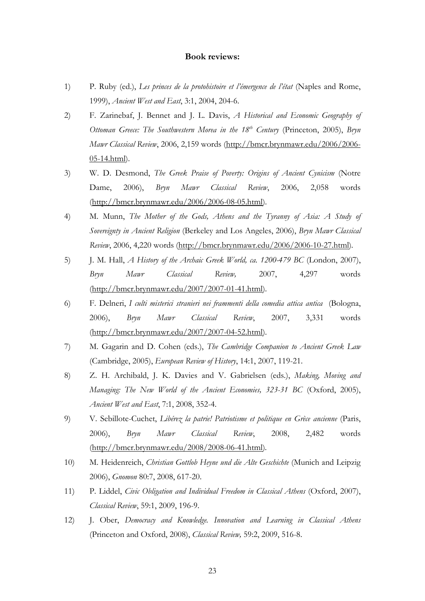#### **Book reviews:**

- 1) P. Ruby (ed.), *Les princes de la protohistoire et l'émergence de l'état* (Naples and Rome, 1999), *Ancient West and East*, 3:1, 2004, 204-6.
- 2) F. Zarinebaf, J. Bennet and J. L. Davis, *A Historical and Economic Geography of Ottoman Greece: The Southwestern Morea in the 18th Century* (Princeton, 2005), *Bryn Mawr Classical Review*, 2006, 2,159 words [\(http://bmcr.brynmawr.edu/2006/2006-](http://bmcr.brynmawr.edu/2006/2006-05-14.html) [05-14.html\)](http://bmcr.brynmawr.edu/2006/2006-05-14.html).
- 3) W. D. Desmond, *The Greek Praise of Poverty: Origins of Ancient Cynicism* (Notre Dame, 2006), *Bryn Mawr Classical Review*, 2006, 2,058 words [\(http://bmcr.brynmawr.edu/2006/2006-08-05.html\)](http://bmcr.brynmawr.edu/2006/2006-08-05.html).
- 4) M. Munn, *The Mother of the Gods, Athens and the Tyranny of Asia: A Study of Sovereignty in Ancient Religion* (Berkeley and Los Angeles, 2006), *Bryn Mawr Classical Review*, 2006, 4,220 words [\(http://bmcr.brynmawr.edu/2006/2006-10-27.html\)](http://bmcr.brynmawr.edu/2006/2006-10-27.html)*.*
- 5) J. M. Hall, *A History of the Archaic Greek World, ca. 1200-479 BC* (London, 2007), *Bryn Mawr Classical Review,* 2007, 4,297 words [\(http://bmcr.brynmawr.edu/2007/2007-01-41.html\)](http://bmcr.brynmawr.edu/2007/2007-01-41.html).
- 6) F. Delneri, *I culti misterici stranieri nei frammenti della comedia attica antica* (Bologna, 2006), *Bryn Mawr Classical Review*, 2007, 3,331 words [\(http://bmcr.brynmawr.edu/2007/2007-04-52.html\)](http://bmcr.brynmawr.edu/2007/2007-04-52.html).
- 7) M. Gagarin and D. Cohen (eds.), *The Cambridge Companion to Ancient Greek Law* (Cambridge, 2005), *European Review of History*, 14:1, 2007, 119-21.
- 8) Z. H. Archibald, J. K. Davies and V. Gabrielsen (eds.), *Making, Moving and Managing: The New World of the Ancient Economies, 323-31 BC* (Oxford, 2005), *Ancient West and East*, 7:1, 2008, 352-4.
- 9) V. Sebillote-Cuchet, *Libérez la patrie! Patriotisme et politique en Grèce ancienne* (Paris, 2006), *Bryn Mawr Classical Review*, 2008, 2,482 words [\(http://bmcr.brynmawr.edu/2008/2008-06-41.html\)](http://bmcr.brynmawr.edu/2008/2008-06-41.html)*.*
- 10) M. Heidenreich, *Christian Gottlob Heyne und die Alte Geschichte* (Munich and Leipzig 2006), *Gnomon* 80:7, 2008, 617-20.
- 11) P. Liddel, *Civic Obligation and Individual Freedom in Classical Athens* (Oxford, 2007), *Classical Review*, 59:1, 2009, 196-9.
- 12) J. Ober, *Democracy and Knowledge. Innovation and Learning in Classical Athens* (Princeton and Oxford, 2008), *Classical Review,* 59:2, 2009, 516-8.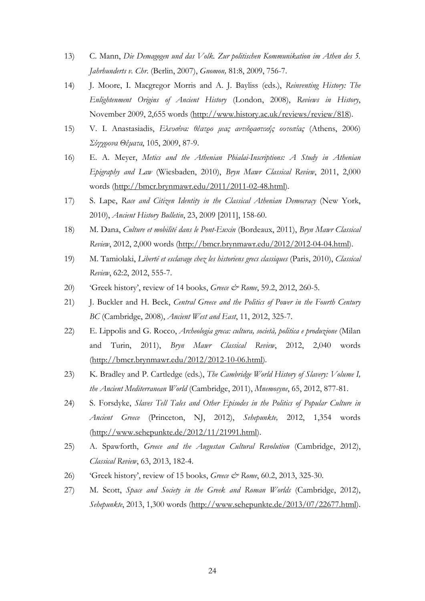- 13) C. Mann, *Die Demagogen und das Volk. Zur politischen Kommunikation im Athen des 5. Jahrhunderts v. Chr*. (Berlin, 2007), *Gnomon,* 81:8, 2009, 756-7.
- 14) J. Moore, I. Macgregor Morris and A. J. Bayliss (eds.), *Reinventing History: The Enlightenment Origins of Ancient History* (London, 2008), *Reviews in History*, November 2009, 2,655 words [\(http://www.history.ac.uk/reviews/review/818\)](http://www.history.ac.uk/reviews/review/818).
- 15) V. I. Anastasiadis, *Ελευσίνα: θέατρο μιας αντιδραστικής ουτοπίας* (Athens, 2006) *Σύγχρονα Θέματα*, 105, 2009, 87-9.
- 16) E. A. Meyer, *Metics and the Athenian Phialai-Inscriptions: A Study in Athenian Epigraphy and Law* (Wiesbaden, 2010), *Bryn Mawr Classical Review*, 2011, 2,000 words [\(http://bmcr.brynmawr.edu/2011/2011-02-48.html\)](http://bmcr.brynmawr.edu/2011/2011-02-48.html)*.*
- 17) S. Lape, *Race and Citizen Identity in the Classical Athenian Democracy* (New York, 2010), *Ancient History Bulletin*, 23, 2009 [2011], 158-60.
- 18) M. Dana, *Culture et mobilité dans le Pont-Euxin* (Bordeaux, 2011), *Bryn Mawr Classical Review*, 2012, 2,000 words [\(http://bmcr.brynmawr.edu/2012/2012-04-04.html\)](http://bmcr.brynmawr.edu/2012/2012-04-04.html).
- 19) M. Tamiolaki, *Liberté et esclavage chez les historiens grecs classiques* (Paris, 2010), *Classical Review*, 62:2, 2012, 555-7.
- 20) 'Greek history', review of 14 books, *Greece & Rome*, 59.2, 2012, 260-5.
- 21) J. Buckler and H. Beck, *Central Greece and the Politics of Power in the Fourth Century BC* (Cambridge, 2008), *Ancient West and East*, 11, 2012, 325-7.
- 22) E. Lippolis and G. Rocco, *Archeologia greca: cultura, società, politica e produzione* (Milan and Turin, 2011), *Bryn Mawr Classical Review*, 2012, 2,040 words [\(http://bmcr.brynmawr.edu/2012/2012-10-06.html\)](http://bmcr.brynmawr.edu/2012/2012-10-06.html).
- 23) K. Bradley and P. Cartledge (eds.), *The Cambridge World History of Slavery: Volume I, the Ancient Mediterranean World* (Cambridge, 2011), *Mnemosyne*, 65, 2012, 877-81.
- 24) S. Forsdyke, *Slaves Tell Tales and Other Episodes in the Politics of Popular Culture in Ancient Greece* (Princeton, NJ, 2012), *Sehepunkte,* 2012, 1,354 words [\(http://www.sehepunkte.de/2012/11/21991.html\)](http://www.sehepunkte.de/2012/11/21991.html).
- 25) A. Spawforth, *Greece and the Augustan Cultural Revolution* (Cambridge, 2012), *Classical Review*, 63, 2013, 182-4.
- 26) 'Greek history', review of 15 books, *Greece & Rome*, 60.2, 2013, 325-30.
- 27) M. Scott, *Space and Society in the Greek and Roman Worlds* (Cambridge, 2012), *Sehepunkte*, 2013, 1,300 words [\(http://www.sehepunkte.de/2013/07/22677.html\)](http://www.sehepunkte.de/2013/07/22677.html).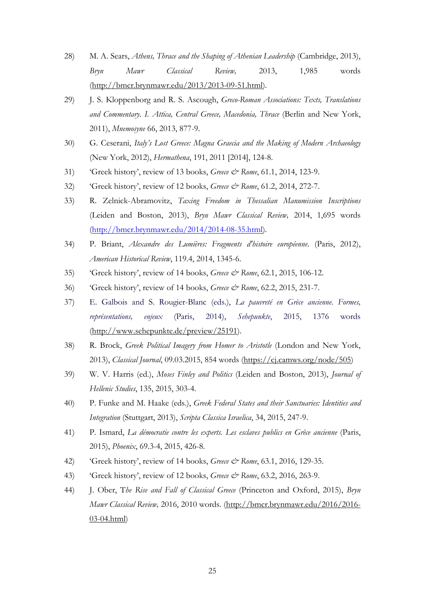- 28) M. A. Sears, *Athens, Thrace and the Shaping of Athenian Leadership* (Cambridge, 2013), *Bryn Mawr Classical Review,* 2013, 1,985 words [\(http://bmcr.brynmawr.edu/2013/2013-09-51.html\)](http://bmcr.brynmawr.edu/2013/2013-09-51.html).
- 29) J. S. Kloppenborg and R. S. Ascough, *Greco-Roman Associations: Texts, Translations and Commentary. I. Attica, Central Greece, Macedonia, Thrace* (Berlin and New York, 2011), *Mnemosyne* 66, 2013, 877-9.
- 30) G. Ceserani, *Italy's Lost Greece: Magna Graecia and the Making of Modern Archaeology* (New York, 2012), *Hermathena*, 191, 2011 [2014], 124-8.
- 31) 'Greek history', review of 13 books, *Greece & Rome*, 61.1, 2014, 123-9.
- 32) 'Greek history', review of 12 books, *Greece & Rome*, 61.2, 2014, 272-7.
- 33) R. Zelnick-Abramovitz, *Taxing Freedom in Thessalian Manumission Inscriptions* (Leiden and Boston, 2013), *Bryn Mawr Classical Review,* 2014, 1,695 words [\(http://bmcr.brynmawr.edu/2014/2014-08-35.html\)](http://bmcr.brynmawr.edu/2014/2014-08-35.html).
- 34) P. Briant, *Alexandre des Lumières: Fragments d'histoire européenne*. (Paris, 2012), *American Historical Review*, 119.4, 2014, 1345-6.
- 35) 'Greek history', review of 14 books, *Greece & Rome*, 62.1, 2015, 106-12.
- 36) 'Greek history', review of 14 books, *Greece & Rome*, 62.2, 2015, 231-7.
- 37) E. Galbois and S. Rougier-Blanc (eds.), *La pauvreté en Grèce ancienne. Formes, représentations, enjeux* (Paris, 2014), *Sehepunkte*, 2015, 1376 words [\(http://www.sehepunkte.de/preview/25191\)](http://www.sehepunkte.de/preview/25191).
- 38) R. Brock, *Greek Political Imagery from Homer to Aristotle* (London and New York, 2013), *Classical Journal*, 09.03.2015, 854 words [\(https://cj.camws.org/node/505\)](https://cj.camws.org/node/505)
- 39) W. V. Harris (ed.), *Moses Finley and Politics* (Leiden and Boston, 2013), *Journal of Hellenic Studies*, 135, 2015, 303-4.
- 40) P. Funke and M. Haake (eds.), *Greek Federal States and their Sanctuaries: Identities and Integration* (Stuttgart, 2013), *Scripta Classica Israelica*, 34, 2015, 247-9.
- 41) P. Ismard, *La démocratie contre les experts. Les esclaves publics en Grèce ancienne* (Paris, 2015), *Phoenix*, 69.3-4, 2015, 426-8.
- 42) 'Greek history', review of 14 books, *Greece & Rome*, 63.1, 2016, 129-35.
- 43) 'Greek history', review of 12 books, *Greece & Rome*, 63.2, 2016, 263-9.
- 44) J. Ober, T*he Rise and Fall of Classical Greece* (Princeton and Oxford, 2015), *Bryn Mawr Classical Review,* 2016, 2010 words. [\(http://bmcr.brynmawr.edu/2016/2016-](http://bmcr.brynmawr.edu/2016/2016-03-04.html) [03-04.html\)](http://bmcr.brynmawr.edu/2016/2016-03-04.html)